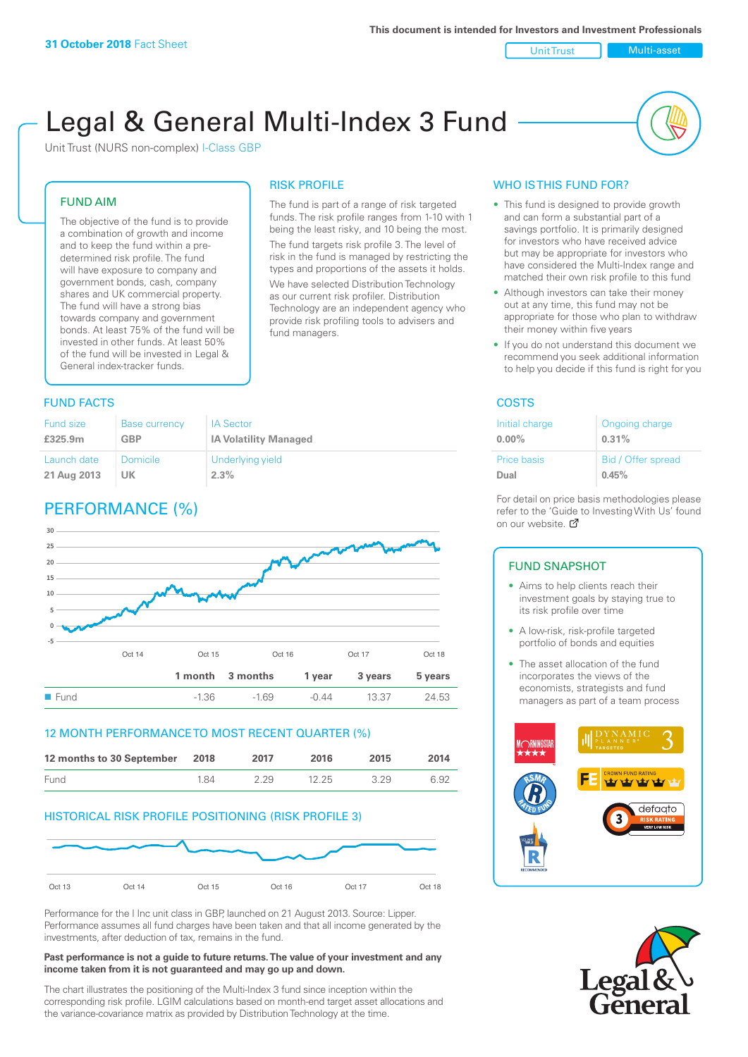#### Unit Trust Nulti-asset

# Legal & General Multi-Index 3 Fund

RISK PROFILE

fund managers.

The fund is part of a range of risk targeted funds. The risk profile ranges from 1-10 with 1 being the least risky, and 10 being the most. The fund targets risk profile 3. The level of risk in the fund is managed by restricting the types and proportions of the assets it holds. We have selected Distribution Technology as our current risk profiler. Distribution Technology are an independent agency who provide risk profiling tools to advisers and

Unit Trust (NURS non-complex) I-Class GBP

#### FUND AIM

The objective of the fund is to provide a combination of growth and income and to keep the fund within a predetermined risk profile. The fund will have exposure to company and government bonds, cash, company shares and UK commercial property. The fund will have a strong bias towards company and government bonds. At least 75% of the fund will be invested in other funds. At least 50% of the fund will be invested in Legal & General index-tracker funds.

#### **FUND FACTS** COSTS

| Fund size   | <b>Base currency</b> | <b>IA Sector</b>             |
|-------------|----------------------|------------------------------|
| £325.9m     | <b>GBP</b>           | <b>IA Volatility Managed</b> |
| Launch date | <b>Domicile</b>      | Underlying yield             |
| 21 Aug 2013 | UK                   | 2.3%                         |

## PERFORMANCE (%)



#### 12 MONTH PERFORMANCE TO MOST RECENT QUARTER (%)

| 12 months to 30 September 2018 |     | 2017 | 2016  | 2015 | 2014 |
|--------------------------------|-----|------|-------|------|------|
| Fund                           | 184 | 229  | 12.25 | 329  | 6.92 |

#### HISTORICAL RISK PROFILE POSITIONING (RISK PROFILE 3)



Performance for the I Inc unit class in GBP, launched on 21 August 2013. Source: Lipper. Performance assumes all fund charges have been taken and that all income generated by the investments, after deduction of tax, remains in the fund.

#### **Past performance is not a guide to future returns. The value of your investment and any income taken from it is not guaranteed and may go up and down.**

The chart illustrates the positioning of the Multi-Index 3 fund since inception within the corresponding risk profile. LGIM calculations based on month-end target asset allocations and the variance-covariance matrix as provided by Distribution Technology at the time.

#### WHO IS THIS FUND FOR?

- This fund is designed to provide growth and can form a substantial part of a savings portfolio. It is primarily designed for investors who have received advice but may be appropriate for investors who have considered the Multi-Index range and matched their own risk profile to this fund
- Although investors can take their money out at any time, this fund may not be appropriate for those who plan to withdraw their money within five years
- If you do not understand this document we recommend you seek additional information to help you decide if this fund is right for you

| Initial charge | Ongoing charge     |
|----------------|--------------------|
| $0.00\%$       | 0.31%              |
| Price basis    | Bid / Offer spread |
| Dual           | 0.45%              |

For detail on price basis methodologies please refer to the 'Gu[ide t](http://www.legalandgeneral.com/guide)o Investing With Us' found on our website. Ø

#### FUND SNAPSHOT

- Aims to help clients reach their investment goals by staying true to its risk profile over time
- A low-risk, risk-profile targeted portfolio of bonds and equities
- The asset allocation of the fund incorporates the views of the economists, strategists and fund managers as part of a team process



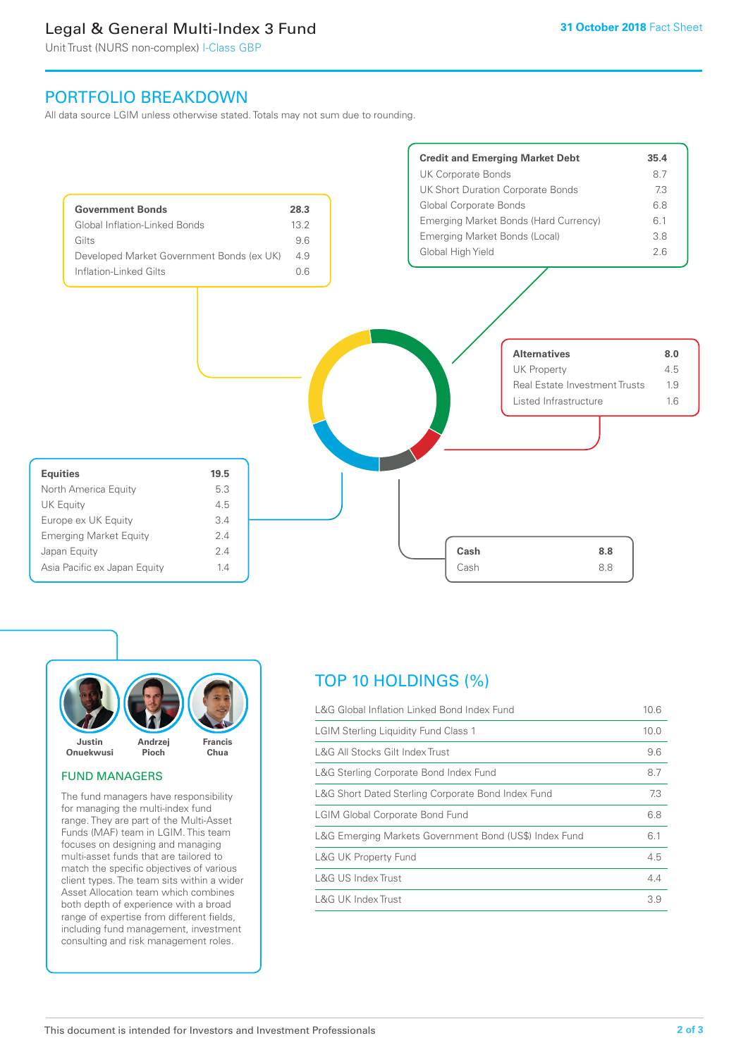## Legal & General Multi-Index 3 Fund

Unit Trust (NURS non-complex) I-Class GBP

## PORTFOLIO BREAKDOWN

All data source LGIM unless otherwise stated. Totals may not sum due to rounding.





#### FUND MANAGERS

The fund managers have responsibility for managing the multi-index fund range. They are part of the Multi-Asset Funds (MAF) team in LGIM. This team focuses on designing and managing multi-asset funds that are tailored to match the specific objectives of various client types. The team sits within a wider Asset Allocation team which combines both depth of experience with a broad range of expertise from different fields, including fund management, investment consulting and risk management roles.

## TOP 10 HOLDINGS (%)

| L&G Global Inflation Linked Bond Index Fund            | 10.6 |
|--------------------------------------------------------|------|
| <b>LGIM Sterling Liquidity Fund Class 1</b>            | 10.0 |
| L&G All Stocks Gilt Index Trust                        | 9.6  |
| L&G Sterling Corporate Bond Index Fund                 | 8.7  |
| L&G Short Dated Sterling Corporate Bond Index Fund     | 7.3  |
| <b>LGIM Global Corporate Bond Fund</b>                 | 6.8  |
| L&G Emerging Markets Government Bond (US\$) Index Fund | 6.1  |
| <b>L&amp;G UK Property Fund</b>                        | 4.5  |
| L&G US Index Trust                                     | 4.4  |
| L&G UK Index Trust                                     | 3.9  |